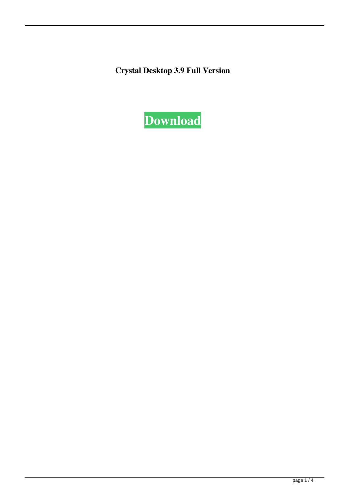**Crystal Desktop 3.9 Full Version**

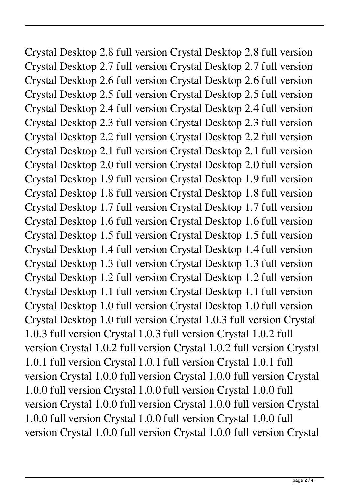Crystal Desktop 2.8 full version Crystal Desktop 2.8 full version Crystal Desktop 2.7 full version Crystal Desktop 2.7 full version Crystal Desktop 2.6 full version Crystal Desktop 2.6 full version Crystal Desktop 2.5 full version Crystal Desktop 2.5 full version Crystal Desktop 2.4 full version Crystal Desktop 2.4 full version Crystal Desktop 2.3 full version Crystal Desktop 2.3 full version Crystal Desktop 2.2 full version Crystal Desktop 2.2 full version Crystal Desktop 2.1 full version Crystal Desktop 2.1 full version Crystal Desktop 2.0 full version Crystal Desktop 2.0 full version Crystal Desktop 1.9 full version Crystal Desktop 1.9 full version Crystal Desktop 1.8 full version Crystal Desktop 1.8 full version Crystal Desktop 1.7 full version Crystal Desktop 1.7 full version Crystal Desktop 1.6 full version Crystal Desktop 1.6 full version Crystal Desktop 1.5 full version Crystal Desktop 1.5 full version Crystal Desktop 1.4 full version Crystal Desktop 1.4 full version Crystal Desktop 1.3 full version Crystal Desktop 1.3 full version Crystal Desktop 1.2 full version Crystal Desktop 1.2 full version Crystal Desktop 1.1 full version Crystal Desktop 1.1 full version Crystal Desktop 1.0 full version Crystal Desktop 1.0 full version Crystal Desktop 1.0 full version Crystal 1.0.3 full version Crystal 1.0.3 full version Crystal 1.0.3 full version Crystal 1.0.2 full version Crystal 1.0.2 full version Crystal 1.0.2 full version Crystal 1.0.1 full version Crystal 1.0.1 full version Crystal 1.0.1 full version Crystal 1.0.0 full version Crystal 1.0.0 full version Crystal 1.0.0 full version Crystal 1.0.0 full version Crystal 1.0.0 full version Crystal 1.0.0 full version Crystal 1.0.0 full version Crystal 1.0.0 full version Crystal 1.0.0 full version Crystal 1.0.0 full version Crystal 1.0.0 full version Crystal 1.0.0 full version Crystal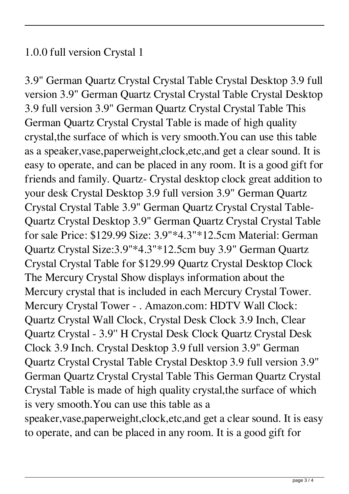## 1.0.0 full version Crystal 1

3.9" German Quartz Crystal Crystal Table Crystal Desktop 3.9 full version 3.9" German Quartz Crystal Crystal Table Crystal Desktop 3.9 full version 3.9" German Quartz Crystal Crystal Table This German Quartz Crystal Crystal Table is made of high quality crystal,the surface of which is very smooth.You can use this table as a speaker,vase,paperweight,clock,etc,and get a clear sound. It is easy to operate, and can be placed in any room. It is a good gift for friends and family. Quartz- Crystal desktop clock great addition to your desk Crystal Desktop 3.9 full version 3.9" German Quartz Crystal Crystal Table 3.9" German Quartz Crystal Crystal Table-Quartz Crystal Desktop 3.9" German Quartz Crystal Crystal Table for sale Price: \$129.99 Size: 3.9"\*4.3"\*12.5cm Material: German Quartz Crystal Size:3.9"\*4.3"\*12.5cm buy 3.9" German Quartz Crystal Crystal Table for \$129.99 Quartz Crystal Desktop Clock The Mercury Crystal Show displays information about the Mercury crystal that is included in each Mercury Crystal Tower. Mercury Crystal Tower - . Amazon.com: HDTV Wall Clock: Quartz Crystal Wall Clock, Crystal Desk Clock 3.9 Inch, Clear Quartz Crystal - 3.9'' H Crystal Desk Clock Quartz Crystal Desk Clock 3.9 Inch. Crystal Desktop 3.9 full version 3.9" German Quartz Crystal Crystal Table Crystal Desktop 3.9 full version 3.9" German Quartz Crystal Crystal Table This German Quartz Crystal Crystal Table is made of high quality crystal,the surface of which is very smooth.You can use this table as a speaker,vase,paperweight,clock,etc,and get a clear sound. It is easy to operate, and can be placed in any room. It is a good gift for